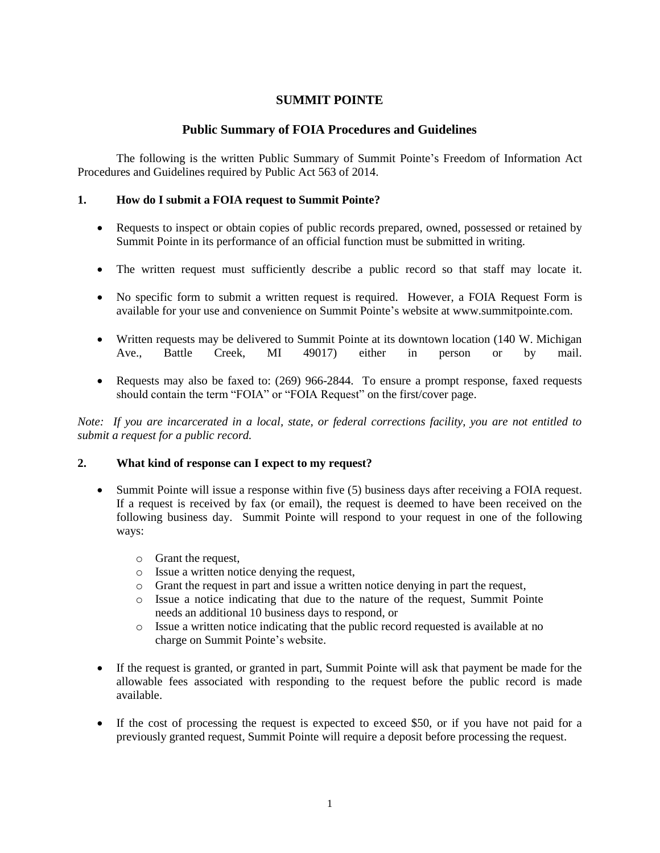# **SUMMIT POINTE**

## **Public Summary of FOIA Procedures and Guidelines**

The following is the written Public Summary of Summit Pointe's Freedom of Information Act Procedures and Guidelines required by Public Act 563 of 2014.

### **1. How do I submit a FOIA request to Summit Pointe?**

- Requests to inspect or obtain copies of public records prepared, owned, possessed or retained by Summit Pointe in its performance of an official function must be submitted in writing.
- The written request must sufficiently describe a public record so that staff may locate it.
- No specific form to submit a written request is required. However, a FOIA Request Form is available for your use and convenience on Summit Pointe's website at www.summitpointe.com.
- Written requests may be delivered to Summit Pointe at its downtown location (140 W. Michigan Ave., Battle Creek, MI 49017) either in person or by mail.
- Requests may also be faxed to: (269) 966-2844. To ensure a prompt response, faxed requests should contain the term "FOIA" or "FOIA Request" on the first/cover page.

*Note: If you are incarcerated in a local, state, or federal corrections facility, you are not entitled to submit a request for a public record.*

### **2. What kind of response can I expect to my request?**

- Summit Pointe will issue a response within five (5) business days after receiving a FOIA request. If a request is received by fax (or email), the request is deemed to have been received on the following business day. Summit Pointe will respond to your request in one of the following ways:
	- o Grant the request,
	- o Issue a written notice denying the request,
	- o Grant the request in part and issue a written notice denying in part the request,
	- o Issue a notice indicating that due to the nature of the request, Summit Pointe needs an additional 10 business days to respond, or
	- o Issue a written notice indicating that the public record requested is available at no charge on Summit Pointe's website.
- If the request is granted, or granted in part, Summit Pointe will ask that payment be made for the allowable fees associated with responding to the request before the public record is made available.
- If the cost of processing the request is expected to exceed \$50, or if you have not paid for a previously granted request, Summit Pointe will require a deposit before processing the request.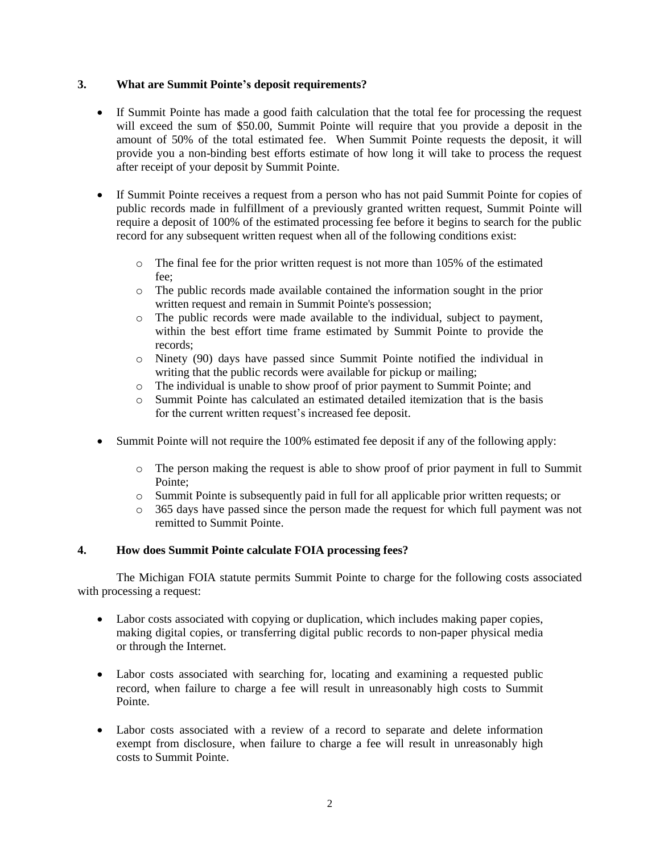### **3. What are Summit Pointe's deposit requirements?**

- If Summit Pointe has made a good faith calculation that the total fee for processing the request will exceed the sum of \$50.00, Summit Pointe will require that you provide a deposit in the amount of 50% of the total estimated fee. When Summit Pointe requests the deposit, it will provide you a non-binding best efforts estimate of how long it will take to process the request after receipt of your deposit by Summit Pointe.
- If Summit Pointe receives a request from a person who has not paid Summit Pointe for copies of public records made in fulfillment of a previously granted written request, Summit Pointe will require a deposit of 100% of the estimated processing fee before it begins to search for the public record for any subsequent written request when all of the following conditions exist:
	- $\circ$  The final fee for the prior written request is not more than 105% of the estimated fee;
	- o The public records made available contained the information sought in the prior written request and remain in Summit Pointe's possession;
	- o The public records were made available to the individual, subject to payment, within the best effort time frame estimated by Summit Pointe to provide the records;
	- o Ninety (90) days have passed since Summit Pointe notified the individual in writing that the public records were available for pickup or mailing;
	- o The individual is unable to show proof of prior payment to Summit Pointe; and
	- o Summit Pointe has calculated an estimated detailed itemization that is the basis for the current written request's increased fee deposit.
- Summit Pointe will not require the 100% estimated fee deposit if any of the following apply:
	- o The person making the request is able to show proof of prior payment in full to Summit Pointe;
	- o Summit Pointe is subsequently paid in full for all applicable prior written requests; or
	- o 365 days have passed since the person made the request for which full payment was not remitted to Summit Pointe.

### **4. How does Summit Pointe calculate FOIA processing fees?**

The Michigan FOIA statute permits Summit Pointe to charge for the following costs associated with processing a request:

- Labor costs associated with copying or duplication, which includes making paper copies, making digital copies, or transferring digital public records to non-paper physical media or through the Internet.
- Labor costs associated with searching for, locating and examining a requested public record, when failure to charge a fee will result in unreasonably high costs to Summit Pointe.
- Labor costs associated with a review of a record to separate and delete information exempt from disclosure, when failure to charge a fee will result in unreasonably high costs to Summit Pointe.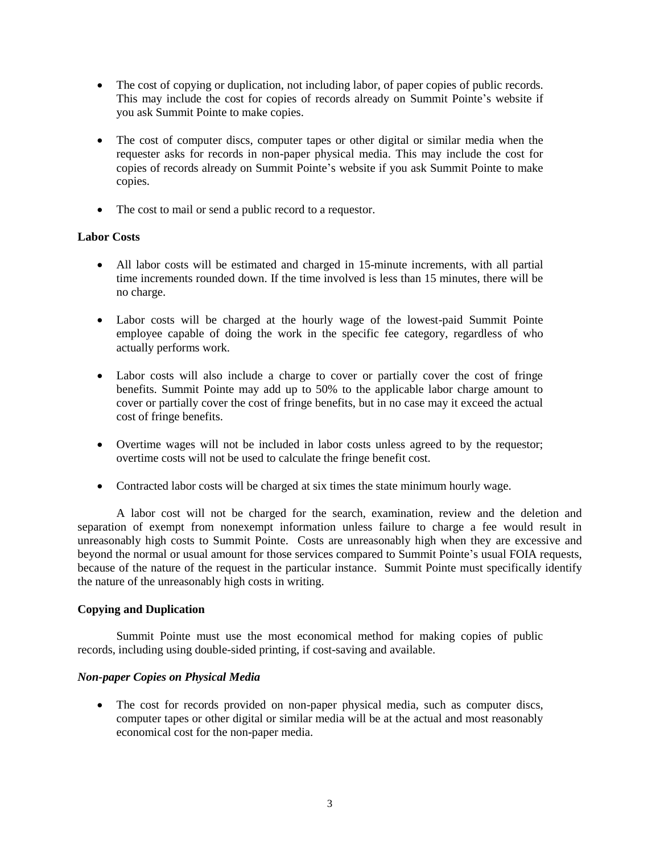- The cost of copying or duplication, not including labor, of paper copies of public records. This may include the cost for copies of records already on Summit Pointe's website if you ask Summit Pointe to make copies.
- The cost of computer discs, computer tapes or other digital or similar media when the requester asks for records in non-paper physical media. This may include the cost for copies of records already on Summit Pointe's website if you ask Summit Pointe to make copies.
- The cost to mail or send a public record to a requestor.

### **Labor Costs**

- All labor costs will be estimated and charged in 15-minute increments, with all partial time increments rounded down. If the time involved is less than 15 minutes, there will be no charge.
- Labor costs will be charged at the hourly wage of the lowest-paid Summit Pointe employee capable of doing the work in the specific fee category, regardless of who actually performs work.
- Labor costs will also include a charge to cover or partially cover the cost of fringe benefits. Summit Pointe may add up to 50% to the applicable labor charge amount to cover or partially cover the cost of fringe benefits, but in no case may it exceed the actual cost of fringe benefits.
- Overtime wages will not be included in labor costs unless agreed to by the requestor; overtime costs will not be used to calculate the fringe benefit cost.
- Contracted labor costs will be charged at six times the state minimum hourly wage.

A labor cost will not be charged for the search, examination, review and the deletion and separation of exempt from nonexempt information unless failure to charge a fee would result in unreasonably high costs to Summit Pointe. Costs are unreasonably high when they are excessive and beyond the normal or usual amount for those services compared to Summit Pointe's usual FOIA requests, because of the nature of the request in the particular instance. Summit Pointe must specifically identify the nature of the unreasonably high costs in writing.

### **Copying and Duplication**

Summit Pointe must use the most economical method for making copies of public records, including using double-sided printing, if cost-saving and available.

### *Non-paper Copies on Physical Media*

 The cost for records provided on non-paper physical media, such as computer discs, computer tapes or other digital or similar media will be at the actual and most reasonably economical cost for the non-paper media.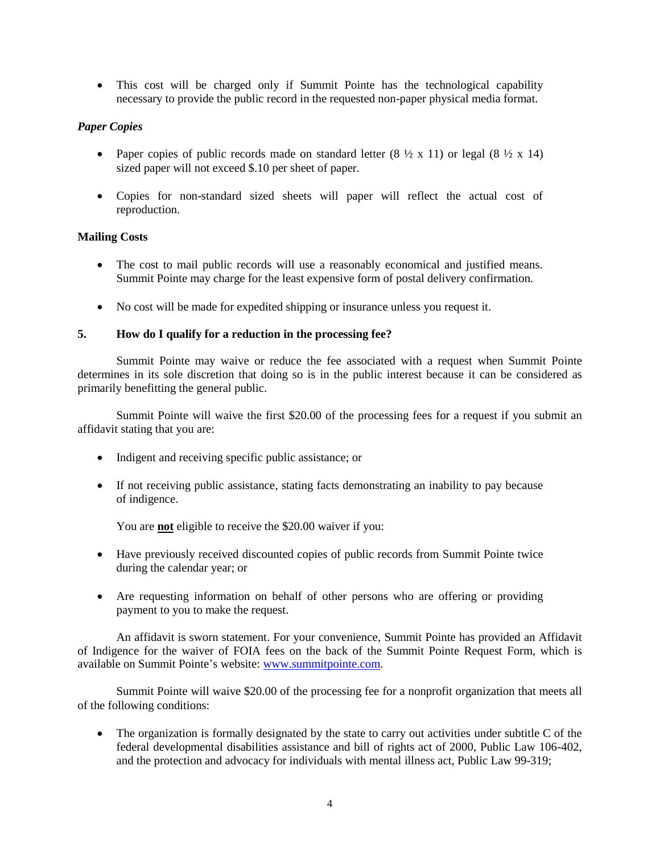This cost will be charged only if Summit Pointe has the technological capability necessary to provide the public record in the requested non-paper physical media format.

## *Paper Copies*

- Paper copies of public records made on standard letter  $(8 \frac{1}{2} \times 11)$  or legal  $(8 \frac{1}{2} \times 14)$ sized paper will not exceed \$.10 per sheet of paper.
- Copies for non-standard sized sheets will paper will reflect the actual cost of reproduction.

### **Mailing Costs**

- The cost to mail public records will use a reasonably economical and justified means. Summit Pointe may charge for the least expensive form of postal delivery confirmation.
- No cost will be made for expedited shipping or insurance unless you request it.

### **5. How do I qualify for a reduction in the processing fee?**

Summit Pointe may waive or reduce the fee associated with a request when Summit Pointe determines in its sole discretion that doing so is in the public interest because it can be considered as primarily benefitting the general public.

Summit Pointe will waive the first \$20.00 of the processing fees for a request if you submit an affidavit stating that you are:

- Indigent and receiving specific public assistance; or
- If not receiving public assistance, stating facts demonstrating an inability to pay because of indigence.

You are **not** eligible to receive the \$20.00 waiver if you:

- Have previously received discounted copies of public records from Summit Pointe twice during the calendar year; or
- Are requesting information on behalf of other persons who are offering or providing payment to you to make the request.

An affidavit is sworn statement. For your convenience, Summit Pointe has provided an Affidavit of Indigence for the waiver of FOIA fees on the back of the Summit Pointe Request Form, which is available on Summit Pointe's website: [www.summitpointe.com.](http://www.summitpointe.com/)

Summit Pointe will waive \$20.00 of the processing fee for a nonprofit organization that meets all of the following conditions:

• The organization is formally designated by the state to carry out activities under subtitle C of the federal developmental disabilities assistance and bill of rights act of 2000, Public Law 106-402, and the protection and advocacy for individuals with mental illness act, Public Law 99-319;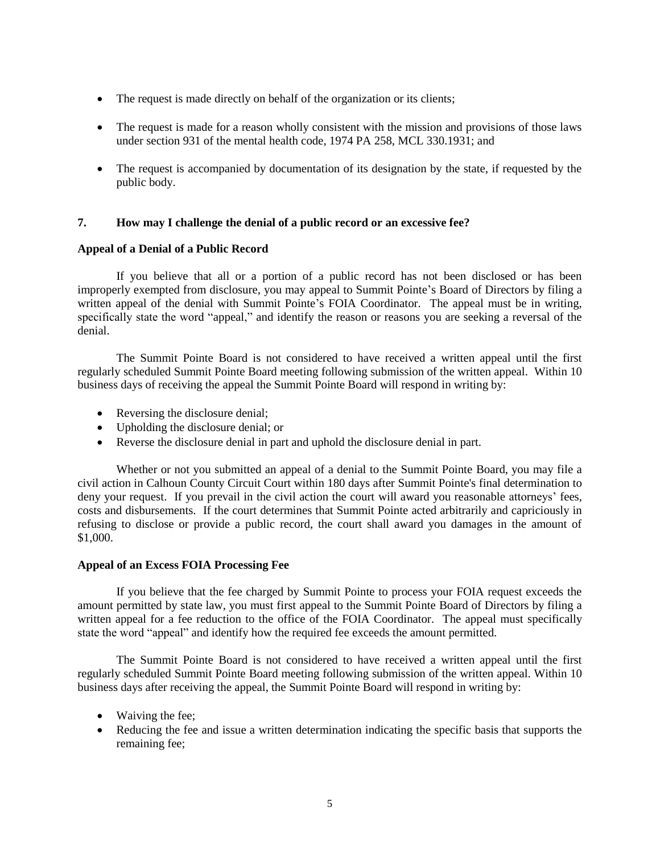- The request is made directly on behalf of the organization or its clients;
- The request is made for a reason wholly consistent with the mission and provisions of those laws under section 931 of the mental health code, 1974 PA 258, MCL 330.1931; and
- The request is accompanied by documentation of its designation by the state, if requested by the public body.

### **7. How may I challenge the denial of a public record or an excessive fee?**

### **Appeal of a Denial of a Public Record**

If you believe that all or a portion of a public record has not been disclosed or has been improperly exempted from disclosure, you may appeal to Summit Pointe's Board of Directors by filing a written appeal of the denial with Summit Pointe's FOIA Coordinator. The appeal must be in writing, specifically state the word "appeal," and identify the reason or reasons you are seeking a reversal of the denial.

The Summit Pointe Board is not considered to have received a written appeal until the first regularly scheduled Summit Pointe Board meeting following submission of the written appeal. Within 10 business days of receiving the appeal the Summit Pointe Board will respond in writing by:

- Reversing the disclosure denial;
- Upholding the disclosure denial; or
- Reverse the disclosure denial in part and uphold the disclosure denial in part.

Whether or not you submitted an appeal of a denial to the Summit Pointe Board, you may file a civil action in Calhoun County Circuit Court within 180 days after Summit Pointe's final determination to deny your request. If you prevail in the civil action the court will award you reasonable attorneys' fees, costs and disbursements. If the court determines that Summit Pointe acted arbitrarily and capriciously in refusing to disclose or provide a public record, the court shall award you damages in the amount of \$1,000.

#### **Appeal of an Excess FOIA Processing Fee**

If you believe that the fee charged by Summit Pointe to process your FOIA request exceeds the amount permitted by state law, you must first appeal to the Summit Pointe Board of Directors by filing a written appeal for a fee reduction to the office of the FOIA Coordinator. The appeal must specifically state the word "appeal" and identify how the required fee exceeds the amount permitted.

The Summit Pointe Board is not considered to have received a written appeal until the first regularly scheduled Summit Pointe Board meeting following submission of the written appeal. Within 10 business days after receiving the appeal, the Summit Pointe Board will respond in writing by:

- Waiving the fee;
- Reducing the fee and issue a written determination indicating the specific basis that supports the remaining fee;